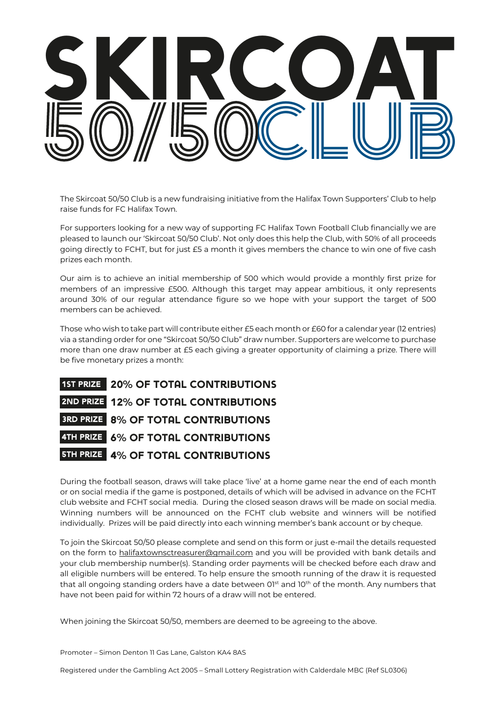

The Skircoat 50/50 Club is a new fundraising initiative from the Halifax Town Supporters' Club to help raise funds for FC Halifax Town.

For supporters looking for a new way of supporting FC Halifax Town Football Club financially we are pleased to launch our 'Skircoat 50/50 Club'. Not only does this help the Club, with 50% of all proceeds going directly to FCHT, but for just £5 a month it gives members the chance to win one of five cash prizes each month.

Our aim is to achieve an initial membership of 500 which would provide a monthly first prize for members of an impressive £500. Although this target may appear ambitious, it only represents around 30% of our regular attendance figure so we hope with your support the target of 500 members can be achieved.

Those who wish to take part will contribute either £5 each month or £60 for a calendar year (12 entries) via a standing order for one "Skircoat 50/50 Club" draw number. Supporters are welcome to purchase more than one draw number at £5 each giving a greater opportunity of claiming a prize. There will be five monetary prizes a month:

| 1ST PRIZE 20% OF TOTAL CONTRIBUTIONS       |
|--------------------------------------------|
| 2ND PRIZE 12% OF TOTAL CONTRIBUTIONS       |
| <b>3RD PRIZE 8% OF TOTAL CONTRIBUTIONS</b> |
| 4TH PRIZE 6% OF TOTAL CONTRIBUTIONS        |
| <b>STH PRIZE 4% OF TOTAL CONTRIBUTIONS</b> |

During the football season, draws will take place 'live' at a home game near the end of each month or on social media if the game is postponed, details of which will be advised in advance on the FCHT club website and FCHT social media. During the closed season draws will be made on social media. Winning numbers will be announced on the FCHT club website and winners will be notified individually. Prizes will be paid directly into each winning member's bank account or by cheque.

To join the Skircoat 50/50 please complete and send on this form or just e-mail the details requested on the form to halifaxtownsctreasurer@gmail.com and you will be provided with bank details and your club membership number(s). Standing order payments will be checked before each draw and all eligible numbers will be entered. To help ensure the smooth running of the draw it is requested that all ongoing standing orders have a date between  $O1<sup>st</sup>$  and  $1O<sup>th</sup>$  of the month. Any numbers that have not been paid for within 72 hours of a draw will not be entered.

When joining the Skircoat 50/50, members are deemed to be agreeing to the above.

Promoter – Simon Denton 11 Gas Lane, Galston KA4 8AS